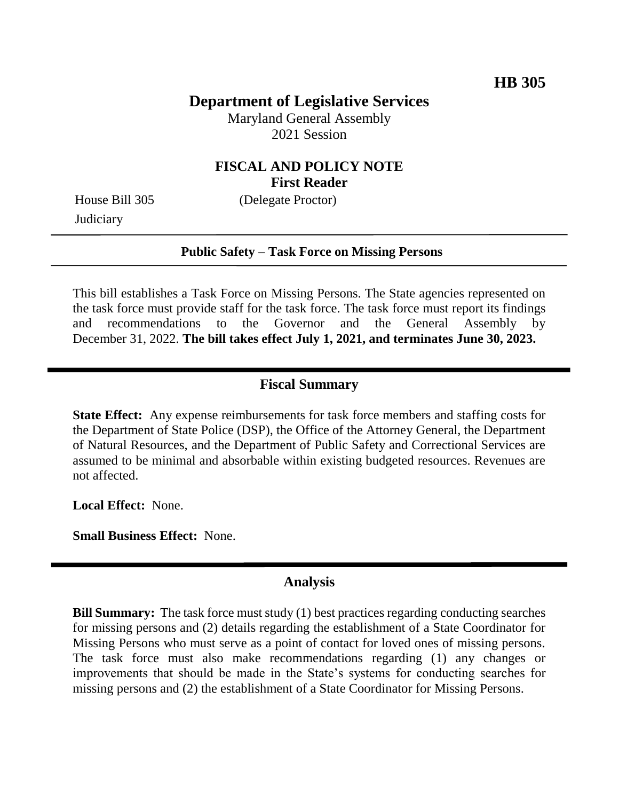## **Department of Legislative Services**

Maryland General Assembly 2021 Session

### **FISCAL AND POLICY NOTE First Reader**

**Judiciary** 

House Bill 305 (Delegate Proctor)

#### **Public Safety – Task Force on Missing Persons**

This bill establishes a Task Force on Missing Persons. The State agencies represented on the task force must provide staff for the task force. The task force must report its findings and recommendations to the Governor and the General Assembly by December 31, 2022. **The bill takes effect July 1, 2021, and terminates June 30, 2023.**

#### **Fiscal Summary**

**State Effect:** Any expense reimbursements for task force members and staffing costs for the Department of State Police (DSP), the Office of the Attorney General, the Department of Natural Resources, and the Department of Public Safety and Correctional Services are assumed to be minimal and absorbable within existing budgeted resources. Revenues are not affected.

**Local Effect:** None.

**Small Business Effect:** None.

#### **Analysis**

**Bill Summary:** The task force must study (1) best practices regarding conducting searches for missing persons and (2) details regarding the establishment of a State Coordinator for Missing Persons who must serve as a point of contact for loved ones of missing persons. The task force must also make recommendations regarding (1) any changes or improvements that should be made in the State's systems for conducting searches for missing persons and (2) the establishment of a State Coordinator for Missing Persons.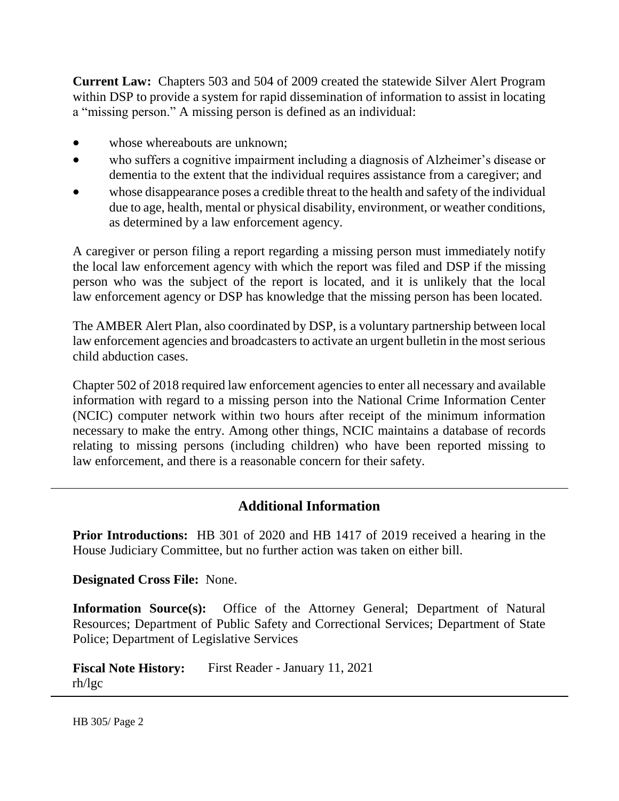**Current Law:** Chapters 503 and 504 of 2009 created the statewide Silver Alert Program within DSP to provide a system for rapid dissemination of information to assist in locating a "missing person." A missing person is defined as an individual:

- whose whereabouts are unknown;
- who suffers a cognitive impairment including a diagnosis of Alzheimer's disease or dementia to the extent that the individual requires assistance from a caregiver; and
- whose disappearance poses a credible threat to the health and safety of the individual due to age, health, mental or physical disability, environment, or weather conditions, as determined by a law enforcement agency.

A caregiver or person filing a report regarding a missing person must immediately notify the local law enforcement agency with which the report was filed and DSP if the missing person who was the subject of the report is located, and it is unlikely that the local law enforcement agency or DSP has knowledge that the missing person has been located.

The AMBER Alert Plan, also coordinated by DSP, is a voluntary partnership between local law enforcement agencies and broadcasters to activate an urgent bulletin in the most serious child abduction cases.

Chapter 502 of 2018 required law enforcement agencies to enter all necessary and available information with regard to a missing person into the National Crime Information Center (NCIC) computer network within two hours after receipt of the minimum information necessary to make the entry. Among other things, NCIC maintains a database of records relating to missing persons (including children) who have been reported missing to law enforcement, and there is a reasonable concern for their safety.

# **Additional Information**

**Prior Introductions:** HB 301 of 2020 and HB 1417 of 2019 received a hearing in the House Judiciary Committee, but no further action was taken on either bill.

**Designated Cross File:** None.

**Information Source(s):** Office of the Attorney General; Department of Natural Resources; Department of Public Safety and Correctional Services; Department of State Police; Department of Legislative Services

**Fiscal Note History:** First Reader - January 11, 2021 rh/lgc